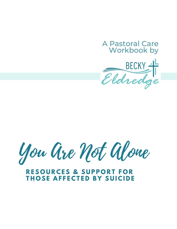# A Pastoral Care Workbook by Eldredge

You Are Not Alone

# **R E S O U R C E S & S U P P O R T F O R T H O S E A F F E C T E D B Y S U I C I D E**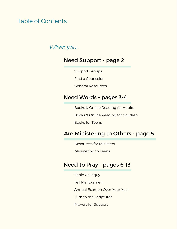# Table of Contents

# *When you...*

# Need Support - page 2

Support Groups

Find a Counselor

General Resources

# Need Words - pages 3-4

Books & Online Reading for Adults

Books & Online Reading for Children

Books for Teens

# Are Ministering to Others - page 5

Resources for Ministers

Ministering to Teens

### Need to Pray - pages 6-13

Triple Colloquy Tell Me! Examen Annual Examen Over Your Year Turn to the Scriptures Prayers for Support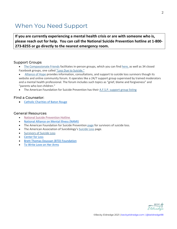# When You Need Support

**If you are currently experiencing a mental health crisis or are with someone who is, please reach out for help. You can call the National Suicide Prevention hotline at 1-800- 273-8255 or go directly to the nearest emergency room.** 

#### Support Groups

- The Compassionate Friends facilitates in-person groups, which you can find here, as well as 34 closed Facebook groups, one called "Loss Due to Suicide."
- Alliance of Hope provides information, consultations, and support to suicide loss survivors though its website and online community forum. It operates like a 24/7 support group supervised by trained moderators and a mental health professional. The forum includes such topics as "grief, blame and forgiveness" and "parents who lost children."
- The American Foundation for Suicide Prevention has their A.F.S.P. support group listing

#### Find a Counselor:

• Catholic Charities of Baton Rouge

#### General Resources

- National Suicide Prevention Hotline
- National Alliance on Mental Illness (NAMI)
- The American Foundation for Suicide Prevention page for survivors of suicide loss.
- The American Association of Suicidology's Suicide Loss page.
- Survivors of Suicide Loss
- Center for Loss
- Brett Thomas Doussan (BTD) Foundation
- To Write Love on Her Arms

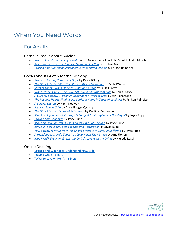# When You Need Words

### For Adults

#### Catholic Books about Suicide

- *When a Loved One Dies by Suicide* by the Association of Catholic Mental Health Ministers
- *After Suicide: There is Hope for Them and For You* by Fr Chris Alar
- *Bruised and Wounded: Struggling to Understand Suicide* by Fr. Ron Rolheiser

#### Books about Grief & for the Grieving

- *Rivers of Sorrow, Currents of Hope* by Paula D'Arcy
- *The Gift of the Red Bird: The Story of Divine Encounter* by Paula D'Arcy
- *Stars at Night: When Darkness Unfolds as Light* by Paula D'Arcy
- *When People Grieve: The Power of Love in the Midst of Pain* by Paula D'arcy
- *A Cure for Sorrow: A Book of Blessings for Times of Grief* by Jan Richardson
- *The Restless Heart: Finding Our Spiritual Home in Times of Lonliness* by Fr. Ron Rolheiser
- *A Sorrow Shared* by Henri Nouwen
- *My New Friend Grief* by Anna Hodges Oginsky
- *The Gift of Peace: Personal Reflections* by Cardinal Bernandin
- *May I walk you home? Courage & Comfort for Caregivers of the Very Ill* by Joyce Rupp
- *Praying Our Goodbyes* by Joyce Rupp
- *May You Find Comfort: A Blessing for Times of Grieving* by Joyce Rupp
- *My Soul Feels Lean: Poems of Loss and Restoration* by Joyce Rupp
- *Your Sorrow is My Sorrow: Hope and Strength in Times of Suffering* by Joyce Rupp
- *A friend Indeed: Help Those You Love When They Grieve* by Amy Florian
- *May I Walk You Home? Sharing Christ's Love with the Dying* by Melody Rossi

#### Online Reading

- Bruised and Wounded: Understanding Suicide
- Praying when it's hard
- To Write Love on Her Arms Blog

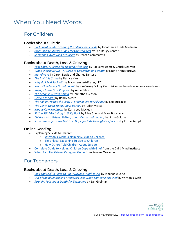# When You Need Words

### For Children

#### Books about Suicide

- *Bart Speaks Out!: Breaking the Silence on Suicide* by Jonathan & Linda Goldman
- *After Suicide: Activity Book for Grieving Kids* by The Dougy Center
- *Someone I loved Died of Suicide* by Doreen Cammarata

#### Books about Death, Loss, & Grieving

- *Tear Soup: A Recipe for Healing After Loss* by Pat Schwiebert & Chuck DeKlyen
- *When Dinosaurs Die: A Guide to Understanding Death* by Laurie Kransy Brown
- *Ida, Always* by Caron Lewis and Charles Santoso
- *The Invisible String* by Patrice Karst
- *Why do I Feel So Sad?* by Tracy Lambert-Prater, LPC
- *What Cloud is my Grandma in?*: by Kim Vesey & Amy Gantt (A series based on various loved ones)
- *Voyage to the Star Kingdom* by Anne Riley
- *The Moon is Always Round* by Johnathan Gibson
- *Heaven for Kids* by Randy Alcorn
- *The Fall of Freddie the Leaf: A Story of Life for All Ages* by Leo Buscaglia
- *The Tenth Good Thing About Barney* by Judith Viorst
- *Moody Cow Meditates* by Kerry Lee Maclean
- *Sitting Still Like A Frog Activity Book* by Eline Snel and Marc Bourtavant
- *Children Also Grieve: Talking about Death and Healing* by Linda Goldman
- *Sometimes Life is Just Not Fair: Hope for Kids Through Grief & Loss* by Fr Joe Kempf

#### Online Reading

- Explaining Suicide to Children
	- o Winston's Wish: Explaining Suicide to Children
	- o Ele's Place: Explaining Suicide to Children
	- o How Others Told Children About Suicide
- Complete Guide to Helping Children Cope with Grief from the Child Mind Institute
- When Families Grieve: Caregiver Guide from Sesame Workshop

### For Teenagers

#### Books about Death, Loss, & Grieving

- *Chill and Spill: A Place to Put it Down & Work it Out* by Stephanie Lorig
- *Out of the Blue: Making Memories Last When Someone has Died* by Winton's Wish
- *Straight Talk about Death for Teenagers* by Earl Grolman

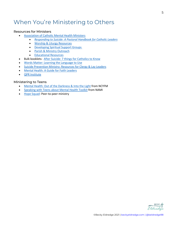# When You're Ministering to Others

#### Resources for Ministers

- Association of Catholic Mental Health Ministers
	- *Responding to Suicide: A Pastoral Handbook for Catholic Leaders*
	- Worship & Liturgy Resources
	- Developing Spiritual Support Groups
	- Parish & Ministry Outreach
	- Educational Resources
- Bulk booklets: After Suicide: 7 things for Catholics to Know
- Words Matter: Learning the Language to Use
- Suicide Prevention Ministry: Resources for Clergy & Lay Leaders
- Mental Health: A Guide for Faith Leaders
- QPR Institute

#### Ministering to Teens

- Mental Health: Out of the Darkness & Into the Light from NCYFM
- Speaking with Teens about Mental Health Toolkit from NAMI
- Hope Squad: Peer-to-peer ministry

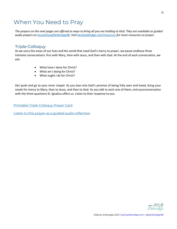# When You Need to Pray

*The prayers on the next pages are offered as ways to bring all you are holding to God. They are available as guided audio prayers on Soundcloud/beldredge98. Visit beckyeldredge.com/resources for more resources on prayer.*

### Triple Colloquy

As we carry the areas of our lives and the world that need God's mercy to prayer, we pause andhave three intimate conversations: first with Mary, then with Jesus, and then with God. At the end of each conversation, we ask:

- What have I done for Christ?
- What am I doing for Christ?
- What ought I do for Christ?

Get quiet and go to your inner chapel. As you lean into God's promise of being fully seen and loved, bring your needs for mercy to Mary, then to Jesus, and then to God. As you talk to each one of them, end yourconversation with the three questions St. Ignatius offers us. Listen to their response to you.

Printable Triple Colloquy Prayer Card

Listen to this prayer as a guided audio reflection



6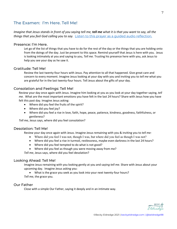### The Examen: I'm Here. Tell Me!

#### *Imagine that Jesus stands in front of you saying tell me, tell me what it is that you want to say, all the things that you feel God calling you to say.* Listen to this prayer as a guided audio reflection.

#### Presence: I'm Here.

Let go of the list of things that you have to do for the rest of the day or the things that you are holding onto from the doings of the day. Just be present to this space. Remind yourself that Jesus is here with you. Jesus is looking intimately at you and saying to you, *Tell me.* Trusting his presence here with you, ask Jesus to help you see your day as he saw it.

#### Gratitude: Tell Me!

Review the last twenty-four hours with Jesus. Pay attention to all that happened. Give great care and concern to every moment. Imagine Jesus looking at your day with you and inviting you to *tell me* what you are grateful for in the last twenty-four hours. Tell Jesus about the gifts of your day.

#### Consolation and Feelings: Tell Me!

Review your day once again with Jesus. Imagine him looking at you as you look at your day together saying, *tell me.* What are the most important emotions you have felt in the last 24 hours? Share with Jesus how you have felt this past day. Imagine Jesus asking:

- Where did you feel the fruits of the spirit?
- Where did you feel joy?
- Where did you feel a rise in love, faith, hope, peace, patience, kindness, goodness, faithfulness, or gentleness?

*Tell me,* Jesus says, where did you feel consolation?

#### Desolation: Tell Me!

Review your day once again with Jesus. Imagine Jesus remaining with you & inviting you to *tell me:*

- Where did you feel I was not, though I was, but where did you feel as though I was not?
- Where did you feel a rise in turmoil, restlessness, maybe even darkness in the last 24 hours?
- Where did you feel tempted to do what is not good?
- Where did you feel as though you were moving away from me?

*Tell me*, Jesus says, where did you feel desolation?

#### Looking Ahead: Tell Me!

Imagine Jesus remaining with you looking gently at you and sayin*g tell me.* Share with Jesus about your upcoming day. Imagine Jesus asking you:

• What is the grace you seek as you look into your next twenty-four hours? *Tell me*, the grace you.

#### Our Father

Close with a simple Our Father, saying it deeply and in an intimate way.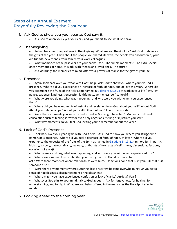### Steps of an Annual Examen: Prayerfully Reviewing the Past Year

#### 1. Ask God to show you your year as God saw it**.**

• Ask God to open your eyes, your ears, and your heart to see what God saw.

#### 2. Thanksgiving.

• Reflect back over the past year in thanksgiving. What are you thankful for?  Ask God to show you the gifts of the year.  Think about the people you shared life with, the people you encountered, your old friends, new friends, your family, your work colleagues. 

• What memories of the past year are you thankful for?  The simple moments?  The extra special ones? Memories at home, at work, with friends and loved ones? In nature?  

• As God brings the memories to mind, offer your prayers of thanks for the gifts of your life. 

#### 3. Presence.

• Again, look back over your year with God's help.  Ask God to show you where you felt God's presence.  Where did you experience an increase of faith, of hope, and of love this year?  Where did you experience the fruits of the Holy Spirit named in Galatians 5:22-23 at work in your life (love, joy, peace, patience, kindness, generosity, faithfulness, gentleness, self-control)? 

• What were you doing, what was happening, and who were you with when you experienced them? 

• Where did you have moments of insight and revelation from God about yourself?  About God?  About your relationships?  About your call?  About others? About the world?

• Were there moments you were invited to feel as God might have felt? Moments of difficult consolation such as feeling sorrow or even holy anger at suffering or injustices you saw?

• What key moments do you feel God inviting you to remember about the year?

#### 4. Lack of God's Presence.

• Look back over your year again with God's help. Ask God to show you where you struggled to name God's presence. Where did you feel a decrease of faith, of hope, of love? Where did you experience the opposite of the fruits of the Spirit as named in Galatians 5: 19-21 (immorality, impurity, idolatry, sorcery, hatreds, rivalry, jealousy, outbursts of fury, acts of selfishness, dissensions, factions, occasions of envy)?

- What were you doing, what was happening, and who were you with when experienced this?
- Where were moments you inhibited your own growth in God due to a sinful

act?  Were there moments where relationships were hurt?  Or actions done that hurt you?  Or that hurt someone else?

• Were there any moments where suffering, loss or sorrow became overwhelming? Or you felt a sense of hopelessness, discouragement or helplessness?

• Where might you have experienced confusion or lack of clarity? Anxiety? Fear?

• Whatever God stirs to your mind, talk to God about it. Ask for forgiveness, for healing, for understanding, and for light. What are you being offered in the memories the Holy Spirit stirs to mind?

5. Looking ahead to the coming year.

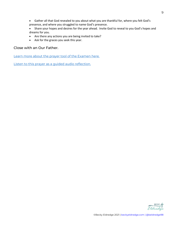- Gather all that God revealed to you about what you are thankful for, where you felt God's presence, and where you struggled to name God's presence.
- Share your hopes and desires for the year ahead.  Invite God to reveal to you God's hopes and dreams for you.
- Are there any actions you are being invited to take?
- Ask for the graces you seek this year.

#### Close with an Our Father.

Learn more about the prayer tool of the Examen here.

Listen to this prayer as a guided audio reflection.

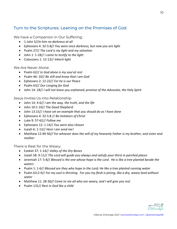### Turn to the Scriptures: Leaning on the Promises of God

We have a Companion in Our Suffering:

- 1 John 5//*In him no darkness at all*
- Ephesians 4: 32-5:8// *You were once darkness, but now you are light*
- Psalm 27// *The Lord is my light and my salvation*
- John 1: 1-18// *I came to testify to the light*
- Colossians 1: 12-13// *Inherit light*

We Are Never Alone:

- Psalm 62// *In God alone is my soul at rest*
- Psalm 46: 10// *Be still and know that I am God*
- Ephesians 2: 12-22// *For he is our Peace*
- Psalm 63// *Our Longing for God*
- John 14: 18// *I will not leave you orphaned; promise of the Advocate, the Holy Spirit*

Jesus Invites Us into Relationship

- John 14: 4-6// *I am the way, the truth, and the life*
- John 10:1-10// *The Good Shepherd*
- John 13:15// *I have set an example that you should do as I have done*
- Ephesians 4: 32-5:8 // *Be imitators of Christ*
- Luke 9: 57-62// *Follow me*
- Ephesians 12: 1-14// *You were also chosen*
- Isaiah 6: 1-13// *Here I am send me!*
- Matthew 12:49-50*// For whoever does the will of my heavenly Father is my brother, and sister and mother*

There is Rest for the Weary:

- Ezekiel 37: 1-14// *Valley of the Dry Bones*
- Isaiah 58: 9-11// *The Lord will guide you always and satisfy your thirst in parched places*
- Jeremiah 17: 5-8// *Blessed is the one whose hope is the Lord. He is like a tree planted beside the waters*
- Psalm 1: 1-6// *Blessed are they who hope in the Lord; He like a tree planted running water*
- Psalm 63:2-9// *For my soul is thirsting. For you my flesh is pining, like a dry, weary land without water*
- Matthew 11: 28-30*// Come to me all who are weary, and I will give you rest*
- Psalm 131// *Rest in God like a child*

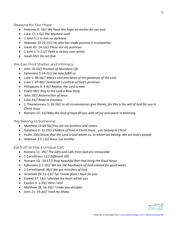Reasons for Our Hope

- Hebrews 6: 19*// We have this hope an anchor for our soul*
- Luke 17: 1-6// *The Mustard seed*
- 1 John 5 // *In him no darkness*
- Hebrews 10:19-25// *He who has made promise is trustworthy*
- Isaiah 42: 14-16// *These are my promises*
- 1 John 1: 5-2:2// *Faith is victory over world*
- Isaiah 43// *Do not fear*

We Can Find Shelter and Intimacy

- John 10:10// *Promise of Abundant Life*
- Ephesians 3:14-21// *He may fulfill us*
- Luke 1: 46-56// *Mary's soul proclaims of the goodness of the Lord*
- Luke 1: 67-80// *Zechariah's canticle of God's promises*
- Philippians 4: 4-9// *Rejoice, the Lord is near*
- Psalm 96// *Sing to the Lord a New Song*
- John 20// *Resurrection of Jesus*
- Luke 24// *Road to Emmaus*
- 1 Thessalonians 5: 16-18// *In all circumstances give thanks, for this is the will of God for you in Christ Jesus*
- Romans 15: 13//*May the God of hope fill you with all joy and peace in believing*

We Belong to Someone:

- Matthew 12:49-50//*You are my brothers and sisters*
- Galatians 3: 22-29// *Children of God in Christ Jesus… you belong to Christ*
- Psalm 100//*Know that the Lord is God whom us, to whom we belong. We are* God's people
- Hebrews 2:5-13// *Jesus, our brother*

Each of Us Has a Unique Call:

- Romans 11: 29// *The Gifts and calls from God are irrevocable*
- 1 Corinthians 12// *Different Gift*
- Romans 10: 10-17// *How beautiful feet that bring the Good News*
- Ephesians 2:1-10// *We are the handiwork of God created for good works*
- 2 Corinthians6: 46// *We are ministers of God*
- Jeremiah 29: 11-13// *For I know plans I have for you*
- Ezekiel 37: 14// *I planted my heart within you*
- Exodus 3: 1-10// *Here I am!*
- Matthew 28: 16-20// *I make you disciples*
- John 21: 19-20// *Feed my Sheep*

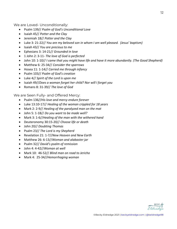We are Loved- Unconditionally:

- Psalm 139// *Psalm of God's Unconditional Love*
- Isaiah 45// *Potter and the Clay*
- Jeremiah 18// *Potter and the Clay*
- Luke 3: 21-22// *You are my beloved son in whom I am well pleased. (Jesus' baptism)*
- Isaiah 43// *You are precious to me*
- Ephesians 3: 14-21// *Grounded in love*
- 1 John 2: 3-11- *The love of God is perfected*
- John 10: 1-10// *I came that you might have life and have it more abundantly. (The Good Shepherd)*
- Matthew 6: 25-34// *Consider the sparrows*
- Hosea 11: 1-14// *Carried me through infancy*
- Psalm 103// *Psalm of God's creation*
- Luke 4// *Spirit of the Lord is upon me*
- Isaiah 49//*Does a woman forget her child? Nor will I forget you*
- Romans 8: 31-39// *The love of God*

We are Seen Fully- and Offered Mercy:

- Psalm 136//*His love and mercy endure forever*
- Luke 13:10-17// *Healing of the woman crippled for 18 years*
- Mark 2: 2-9// *Healing of the paralyzed man on the mat*
- John 5: 1-18// *Do you want to be made well?*
- Mark 3: 1-6//*Healing of the man with the withered hand*
- Deuteronomy 30:15-20// *Choose life or death*
- John 20// *Doubting Thomas*
- Psalm 23// *The Lord is my Shepherd*
- Revelation 21: 1-7//*New Heaven and New Earth*
- Matthew 26: 6-13//*Woman and alabaster jar*
- Psalm 32// *David's psalm of remission*
- John 4: 4-42//*Woman at well*
- Mark 10: 46-52// *Blind man on road to Jericho*
- Mark 4: 25-34//*Hemorrhaging woman*